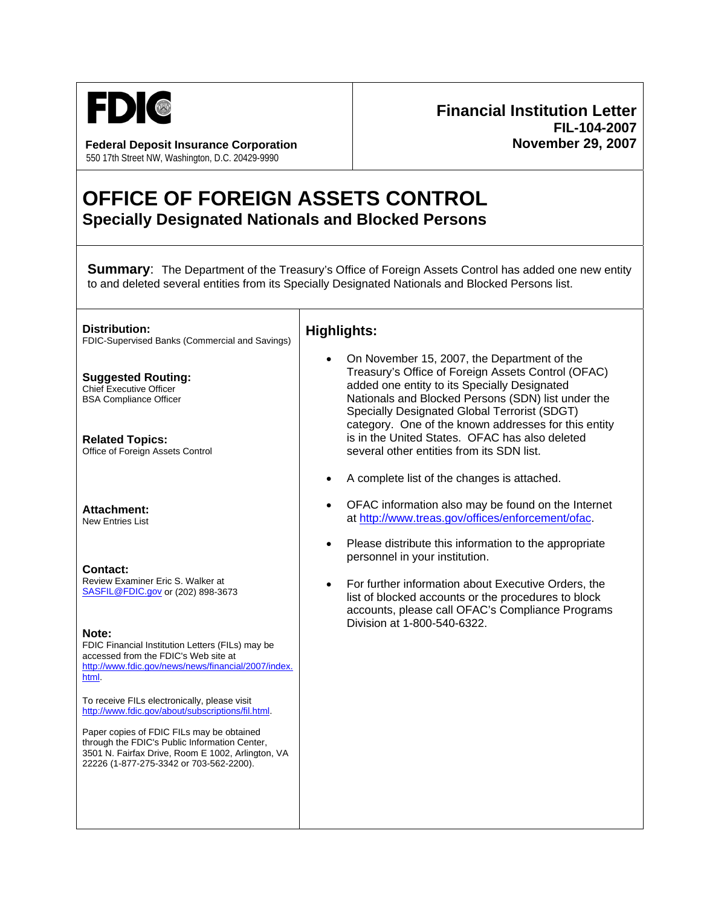

**Federal Deposit Insurance Corporation**  550 17th Street NW, Washington, D.C. 20429-9990

## **Financial Institution Letter FIL-104-2007 November 29, 2007**

## **OFFICE OF FOREIGN ASSETS CONTROL Specially Designated Nationals and Blocked Persons**

**Summary:** The Department of the Treasury's Office of Foreign Assets Control has added one new entity to and deleted several entities from its Specially Designated Nationals and Blocked Persons list.

**Distribution:**  FDIC-Supervised Banks (Commercial and Savings) **Suggested Routing:**  Chief Executive Officer BSA Compliance Officer **Related Topics:**  Office of Foreign Assets Control **Attachment:**  New Entries List **Contact:**  Review Examiner Eric S. Walker at SASFIL@FDIC.gov or (202) 898-3673 **Note:**  FDIC Financial Institution Letters (FILs) may be accessed from the FDIC's Web site at http://www.fdic.gov/news/news/financial/2007/index. html. To receive FILs electronically, please visit http://www.fdic.gov/about/subscriptions/fil.html. Paper copies of FDIC FILs may be obtained through the FDIC's Public Information Center, 3501 N. Fairfax Drive, Room E 1002, Arlington, VA 22226 (1-877-275-3342 or 703-562-2200). **Highlights:** • On November 15, 2007, the Department of the Treasury's Office of Foreign Assets Control (OFAC) added one entity to its Specially Designated Nationals and Blocked Persons (SDN) list under the Specially Designated Global Terrorist (SDGT) category. One of the known addresses for this entity is in the United States. OFAC has also deleted several other entities from its SDN list. • A complete list of the changes is attached. • OFAC information also may be found on the Internet at http://www.treas.gov/offices/enforcement/ofac. • Please distribute this information to the appropriate personnel in your institution. • For further information about Executive Orders, the list of blocked accounts or the procedures to block accounts, please call OFAC's Compliance Programs Division at 1-800-540-6322.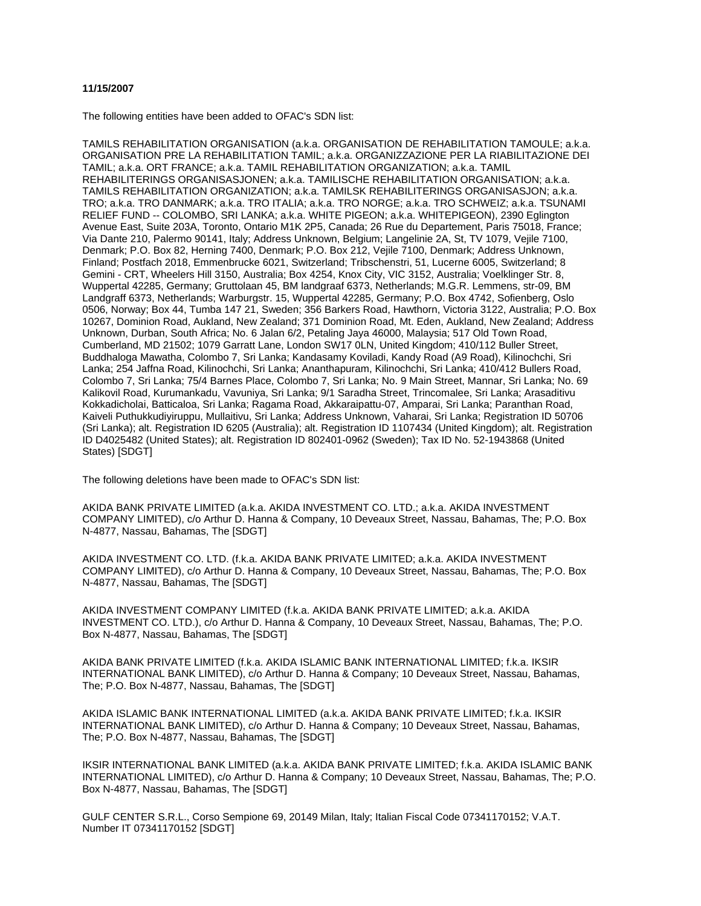## **11/15/2007**

The following entities have been added to OFAC's SDN list:

TAMILS REHABILITATION ORGANISATION (a.k.a. ORGANISATION DE REHABILITATION TAMOULE; a.k.a. ORGANISATION PRE LA REHABILITATION TAMIL; a.k.a. ORGANIZZAZIONE PER LA RIABILITAZIONE DEI TAMIL; a.k.a. ORT FRANCE; a.k.a. TAMIL REHABILITATION ORGANIZATION; a.k.a. TAMIL REHABILITERINGS ORGANISASJONEN; a.k.a. TAMILISCHE REHABILITATION ORGANISATION; a.k.a. TAMILS REHABILITATION ORGANIZATION; a.k.a. TAMILSK REHABILITERINGS ORGANISASJON; a.k.a. TRO; a.k.a. TRO DANMARK; a.k.a. TRO ITALIA; a.k.a. TRO NORGE; a.k.a. TRO SCHWEIZ; a.k.a. TSUNAMI RELIEF FUND -- COLOMBO, SRI LANKA; a.k.a. WHITE PIGEON; a.k.a. WHITEPIGEON), 2390 Eglington Avenue East, Suite 203A, Toronto, Ontario M1K 2P5, Canada; 26 Rue du Departement, Paris 75018, France; Via Dante 210, Palermo 90141, Italy; Address Unknown, Belgium; Langelinie 2A, St, TV 1079, Vejile 7100, Denmark; P.O. Box 82, Herning 7400, Denmark; P.O. Box 212, Vejile 7100, Denmark; Address Unknown, Finland; Postfach 2018, Emmenbrucke 6021, Switzerland; Tribschenstri, 51, Lucerne 6005, Switzerland; 8 Gemini - CRT, Wheelers Hill 3150, Australia; Box 4254, Knox City, VIC 3152, Australia; Voelklinger Str. 8, Wuppertal 42285, Germany; Gruttolaan 45, BM landgraaf 6373, Netherlands; M.G.R. Lemmens, str-09, BM Landgraff 6373, Netherlands; Warburgstr. 15, Wuppertal 42285, Germany; P.O. Box 4742, Sofienberg, Oslo 0506, Norway; Box 44, Tumba 147 21, Sweden; 356 Barkers Road, Hawthorn, Victoria 3122, Australia; P.O. Box 10267, Dominion Road, Aukland, New Zealand; 371 Dominion Road, Mt. Eden, Aukland, New Zealand; Address Unknown, Durban, South Africa; No. 6 Jalan 6/2, Petaling Jaya 46000, Malaysia; 517 Old Town Road, Cumberland, MD 21502; 1079 Garratt Lane, London SW17 0LN, United Kingdom; 410/112 Buller Street, Buddhaloga Mawatha, Colombo 7, Sri Lanka; Kandasamy Koviladi, Kandy Road (A9 Road), Kilinochchi, Sri Lanka; 254 Jaffna Road, Kilinochchi, Sri Lanka; Ananthapuram, Kilinochchi, Sri Lanka; 410/412 Bullers Road, Colombo 7, Sri Lanka; 75/4 Barnes Place, Colombo 7, Sri Lanka; No. 9 Main Street, Mannar, Sri Lanka; No. 69 Kalikovil Road, Kurumankadu, Vavuniya, Sri Lanka; 9/1 Saradha Street, Trincomalee, Sri Lanka; Arasaditivu Kokkadicholai, Batticaloa, Sri Lanka; Ragama Road, Akkaraipattu-07, Amparai, Sri Lanka; Paranthan Road, Kaiveli Puthukkudiyiruppu, Mullaitivu, Sri Lanka; Address Unknown, Vaharai, Sri Lanka; Registration ID 50706 (Sri Lanka); alt. Registration ID 6205 (Australia); alt. Registration ID 1107434 (United Kingdom); alt. Registration ID D4025482 (United States); alt. Registration ID 802401-0962 (Sweden); Tax ID No. 52-1943868 (United States) [SDGT]

The following deletions have been made to OFAC's SDN list:

AKIDA BANK PRIVATE LIMITED (a.k.a. AKIDA INVESTMENT CO. LTD.; a.k.a. AKIDA INVESTMENT COMPANY LIMITED), c/o Arthur D. Hanna & Company, 10 Deveaux Street, Nassau, Bahamas, The; P.O. Box N-4877, Nassau, Bahamas, The [SDGT]

AKIDA INVESTMENT CO. LTD. (f.k.a. AKIDA BANK PRIVATE LIMITED; a.k.a. AKIDA INVESTMENT COMPANY LIMITED), c/o Arthur D. Hanna & Company, 10 Deveaux Street, Nassau, Bahamas, The; P.O. Box N-4877, Nassau, Bahamas, The [SDGT]

AKIDA INVESTMENT COMPANY LIMITED (f.k.a. AKIDA BANK PRIVATE LIMITED; a.k.a. AKIDA INVESTMENT CO. LTD.), c/o Arthur D. Hanna & Company, 10 Deveaux Street, Nassau, Bahamas, The; P.O. Box N-4877, Nassau, Bahamas, The [SDGT]

AKIDA BANK PRIVATE LIMITED (f.k.a. AKIDA ISLAMIC BANK INTERNATIONAL LIMITED; f.k.a. IKSIR INTERNATIONAL BANK LIMITED), c/o Arthur D. Hanna & Company; 10 Deveaux Street, Nassau, Bahamas, The; P.O. Box N-4877, Nassau, Bahamas, The [SDGT]

AKIDA ISLAMIC BANK INTERNATIONAL LIMITED (a.k.a. AKIDA BANK PRIVATE LIMITED; f.k.a. IKSIR INTERNATIONAL BANK LIMITED), c/o Arthur D. Hanna & Company; 10 Deveaux Street, Nassau, Bahamas, The; P.O. Box N-4877, Nassau, Bahamas, The [SDGT]

IKSIR INTERNATIONAL BANK LIMITED (a.k.a. AKIDA BANK PRIVATE LIMITED; f.k.a. AKIDA ISLAMIC BANK INTERNATIONAL LIMITED), c/o Arthur D. Hanna & Company; 10 Deveaux Street, Nassau, Bahamas, The; P.O. Box N-4877, Nassau, Bahamas, The [SDGT]

GULF CENTER S.R.L., Corso Sempione 69, 20149 Milan, Italy; Italian Fiscal Code 07341170152; V.A.T. Number IT 07341170152 [SDGT]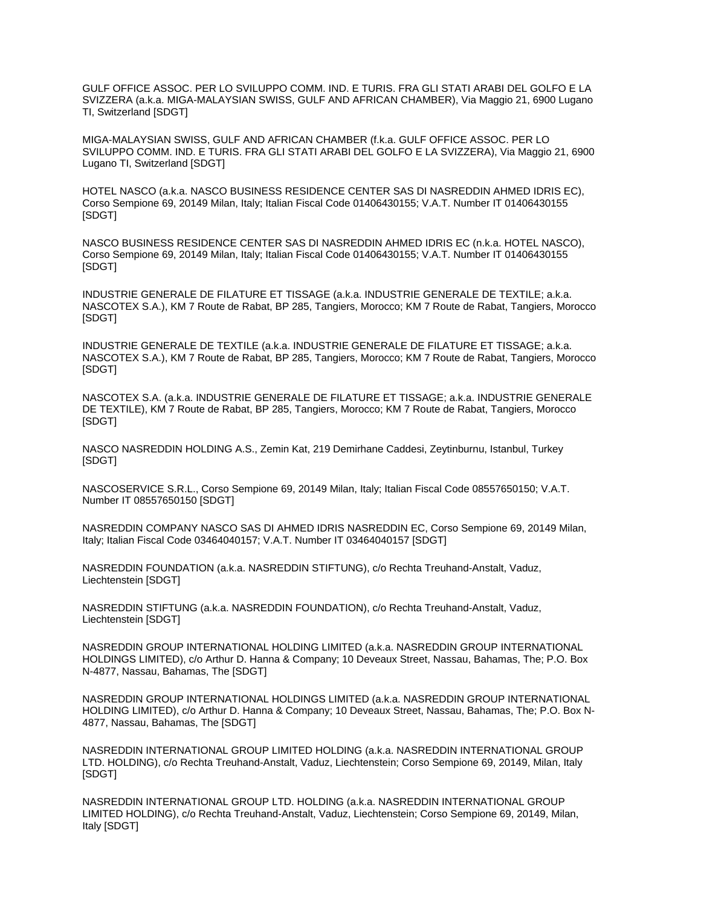GULF OFFICE ASSOC. PER LO SVILUPPO COMM. IND. E TURIS. FRA GLI STATI ARABI DEL GOLFO E LA SVIZZERA (a.k.a. MIGA-MALAYSIAN SWISS, GULF AND AFRICAN CHAMBER), Via Maggio 21, 6900 Lugano TI, Switzerland [SDGT]

MIGA-MALAYSIAN SWISS, GULF AND AFRICAN CHAMBER (f.k.a. GULF OFFICE ASSOC. PER LO SVILUPPO COMM. IND. E TURIS. FRA GLI STATI ARABI DEL GOLFO E LA SVIZZERA), Via Maggio 21, 6900 Lugano TI, Switzerland [SDGT]

HOTEL NASCO (a.k.a. NASCO BUSINESS RESIDENCE CENTER SAS DI NASREDDIN AHMED IDRIS EC), Corso Sempione 69, 20149 Milan, Italy; Italian Fiscal Code 01406430155; V.A.T. Number IT 01406430155 [SDGT]

NASCO BUSINESS RESIDENCE CENTER SAS DI NASREDDIN AHMED IDRIS EC (n.k.a. HOTEL NASCO), Corso Sempione 69, 20149 Milan, Italy; Italian Fiscal Code 01406430155; V.A.T. Number IT 01406430155 [SDGT]

INDUSTRIE GENERALE DE FILATURE ET TISSAGE (a.k.a. INDUSTRIE GENERALE DE TEXTILE; a.k.a. NASCOTEX S.A.), KM 7 Route de Rabat, BP 285, Tangiers, Morocco; KM 7 Route de Rabat, Tangiers, Morocco [SDGT]

INDUSTRIE GENERALE DE TEXTILE (a.k.a. INDUSTRIE GENERALE DE FILATURE ET TISSAGE; a.k.a. NASCOTEX S.A.), KM 7 Route de Rabat, BP 285, Tangiers, Morocco; KM 7 Route de Rabat, Tangiers, Morocco [SDGT]

NASCOTEX S.A. (a.k.a. INDUSTRIE GENERALE DE FILATURE ET TISSAGE; a.k.a. INDUSTRIE GENERALE DE TEXTILE), KM 7 Route de Rabat, BP 285, Tangiers, Morocco; KM 7 Route de Rabat, Tangiers, Morocco [SDGT]

NASCO NASREDDIN HOLDING A.S., Zemin Kat, 219 Demirhane Caddesi, Zeytinburnu, Istanbul, Turkey [SDGT]

NASCOSERVICE S.R.L., Corso Sempione 69, 20149 Milan, Italy; Italian Fiscal Code 08557650150; V.A.T. Number IT 08557650150 [SDGT]

NASREDDIN COMPANY NASCO SAS DI AHMED IDRIS NASREDDIN EC, Corso Sempione 69, 20149 Milan, Italy; Italian Fiscal Code 03464040157; V.A.T. Number IT 03464040157 [SDGT]

NASREDDIN FOUNDATION (a.k.a. NASREDDIN STIFTUNG), c/o Rechta Treuhand-Anstalt, Vaduz, Liechtenstein [SDGT]

NASREDDIN STIFTUNG (a.k.a. NASREDDIN FOUNDATION), c/o Rechta Treuhand-Anstalt, Vaduz, Liechtenstein [SDGT]

NASREDDIN GROUP INTERNATIONAL HOLDING LIMITED (a.k.a. NASREDDIN GROUP INTERNATIONAL HOLDINGS LIMITED), c/o Arthur D. Hanna & Company; 10 Deveaux Street, Nassau, Bahamas, The; P.O. Box N-4877, Nassau, Bahamas, The [SDGT]

NASREDDIN GROUP INTERNATIONAL HOLDINGS LIMITED (a.k.a. NASREDDIN GROUP INTERNATIONAL HOLDING LIMITED), c/o Arthur D. Hanna & Company; 10 Deveaux Street, Nassau, Bahamas, The; P.O. Box N-4877, Nassau, Bahamas, The [SDGT]

NASREDDIN INTERNATIONAL GROUP LIMITED HOLDING (a.k.a. NASREDDIN INTERNATIONAL GROUP LTD. HOLDING), c/o Rechta Treuhand-Anstalt, Vaduz, Liechtenstein; Corso Sempione 69, 20149, Milan, Italy [SDGT]

NASREDDIN INTERNATIONAL GROUP LTD. HOLDING (a.k.a. NASREDDIN INTERNATIONAL GROUP LIMITED HOLDING), c/o Rechta Treuhand-Anstalt, Vaduz, Liechtenstein; Corso Sempione 69, 20149, Milan, Italy [SDGT]